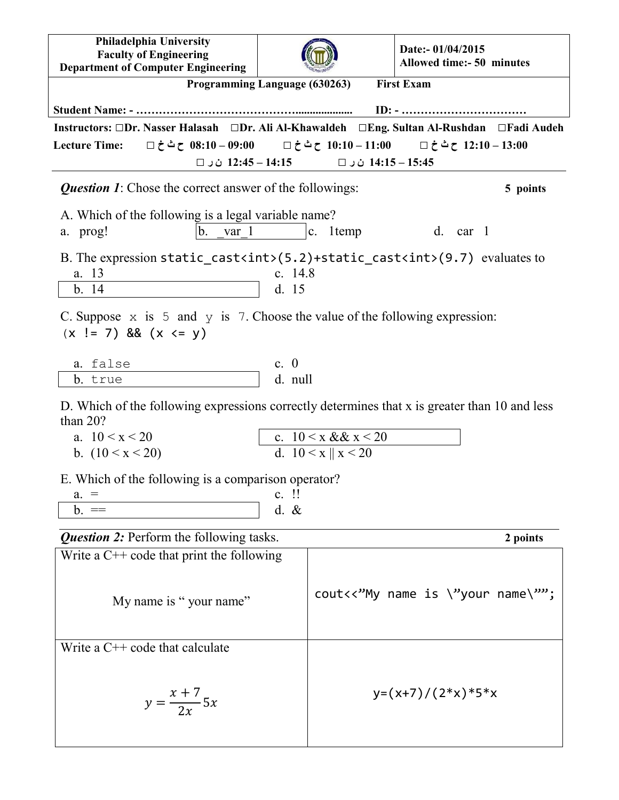| Philadelphia University<br><b>Faculty of Engineering</b><br><b>Department of Computer Engineering</b>                                                                    |                                                                                               |  |  | Date:- 01/04/2015<br><b>Allowed time:- 50 minutes</b>                                          |  |  |
|--------------------------------------------------------------------------------------------------------------------------------------------------------------------------|-----------------------------------------------------------------------------------------------|--|--|------------------------------------------------------------------------------------------------|--|--|
| <b>First Exam</b><br>Programming Language (630263)                                                                                                                       |                                                                                               |  |  |                                                                                                |  |  |
|                                                                                                                                                                          |                                                                                               |  |  |                                                                                                |  |  |
| Instructors: □Dr. Nasser Halasah □Dr. Ali Al-Khawaldeh □Eng. Sultan Al-Rushdan □Fadi Audeh                                                                               |                                                                                               |  |  |                                                                                                |  |  |
| <b>Lecture Time:</b>                                                                                                                                                     |                                                                                               |  |  | $\Box$ 12:10 – 13:00 – 10:10 – 10:10 – 10:10 ح ث خ $\Box$ = 10:10 – 10:10 – 13:00 ح ث خ $\Box$ |  |  |
| 12:45 − 14:15 ن <code>U</code> ن<br>14:15 – 14:15 ن ر □                                                                                                                  |                                                                                               |  |  |                                                                                                |  |  |
| <b>Question 1:</b> Chose the correct answer of the followings:<br>5 points                                                                                               |                                                                                               |  |  |                                                                                                |  |  |
| A. Which of the following is a legal variable name?<br>$b$ .<br>var 1<br>$ c.$ 1 temp<br>d. car 1<br>a. prog!                                                            |                                                                                               |  |  |                                                                                                |  |  |
| B. The expression static_cast <int><math>(5.2)</math>+static_cast<int><math>(9.7)</math> evaluates to<br/>a. 13<br/>c. <math>14.8</math><br/>b. 14<br/>d. 15</int></int> |                                                                                               |  |  |                                                                                                |  |  |
| C. Suppose $\times$ is 5 and $\times$ is 7. Choose the value of the following expression:<br>$(x := 7)$ && $(x \le y)$                                                   |                                                                                               |  |  |                                                                                                |  |  |
| a. false                                                                                                                                                                 | c. $\theta$                                                                                   |  |  |                                                                                                |  |  |
| b. true                                                                                                                                                                  | d. null                                                                                       |  |  |                                                                                                |  |  |
| than $20$ ?                                                                                                                                                              | D. Which of the following expressions correctly determines that x is greater than 10 and less |  |  |                                                                                                |  |  |
|                                                                                                                                                                          | c. $10 \le x \& x \le 20$<br>a. $10 < x < 20$<br>d. $10 < x \parallel x < 20$                 |  |  |                                                                                                |  |  |
| b. $(10 \le x \le 20)$                                                                                                                                                   |                                                                                               |  |  |                                                                                                |  |  |
| E. Which of the following is a comparison operator?                                                                                                                      |                                                                                               |  |  |                                                                                                |  |  |
| $c.$ !!<br>$a_{\cdot} =$                                                                                                                                                 |                                                                                               |  |  |                                                                                                |  |  |
| $b. =$                                                                                                                                                                   | $d. \&$                                                                                       |  |  |                                                                                                |  |  |
| <b>Question 2:</b> Perform the following tasks.<br>2 points                                                                                                              |                                                                                               |  |  |                                                                                                |  |  |
| Write a $C++$ code that print the following                                                                                                                              |                                                                                               |  |  |                                                                                                |  |  |
| My name is "your name"                                                                                                                                                   |                                                                                               |  |  | cout<<"My name is \"your name\"";                                                              |  |  |
| Write a $C++$ code that calculate                                                                                                                                        |                                                                                               |  |  |                                                                                                |  |  |
| $y = \frac{x+7}{2x}5x$                                                                                                                                                   |                                                                                               |  |  | $y=(x+7)/(2*x)*5*x$                                                                            |  |  |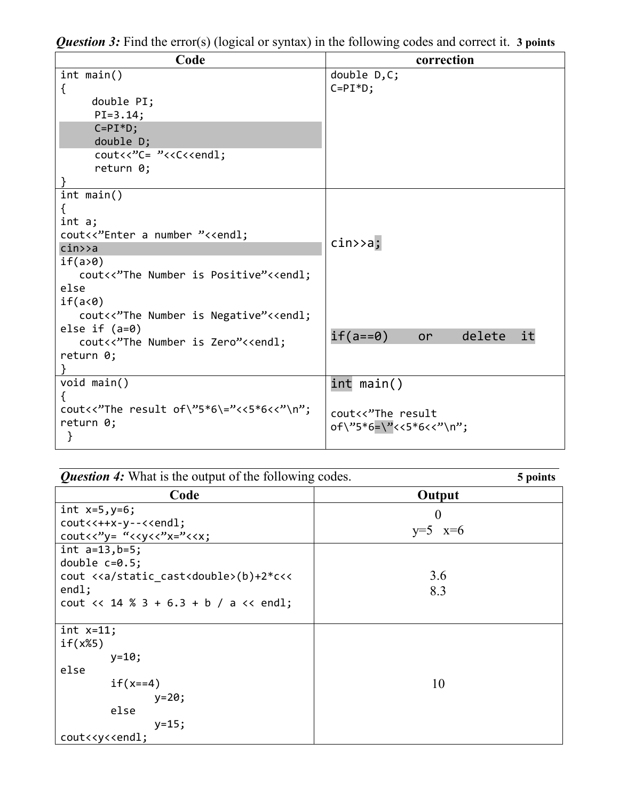| Code                                                                                                                           | correction                          |  |  |  |
|--------------------------------------------------------------------------------------------------------------------------------|-------------------------------------|--|--|--|
| int main()<br>$\{$                                                                                                             | double $D, C$ ;<br>$C = PI * D;$    |  |  |  |
| double PI;                                                                                                                     |                                     |  |  |  |
| $PI = 3.14;$                                                                                                                   |                                     |  |  |  |
| $C = PI * D;$                                                                                                                  |                                     |  |  |  |
| double D;                                                                                                                      |                                     |  |  |  |
| cout<<"C= "< <c<<endl;< td=""><td></td></c<<endl;<>                                                                            |                                     |  |  |  |
| return 0;                                                                                                                      |                                     |  |  |  |
|                                                                                                                                |                                     |  |  |  |
| int main()                                                                                                                     |                                     |  |  |  |
| ₹                                                                                                                              |                                     |  |  |  |
| int a;                                                                                                                         |                                     |  |  |  |
| cout<<"Enter a number "< <endl;< td=""><td colspan="4" rowspan="2"><math>\text{cin} \rightarrow \text{a}</math>;</td></endl;<> | $\text{cin} \rightarrow \text{a}$ ; |  |  |  |
| cin>>a                                                                                                                         |                                     |  |  |  |
| if(a>0)                                                                                                                        |                                     |  |  |  |
| cout<<"The Number is Positive"< <endl;< td=""><td></td></endl;<>                                                               |                                     |  |  |  |
| else                                                                                                                           |                                     |  |  |  |
| if(ac@)                                                                                                                        |                                     |  |  |  |
| cout<<"The Number is Negative"< <endl;< td=""><td></td></endl;<>                                                               |                                     |  |  |  |
| else if $(a=0)$                                                                                                                | $if(a == 0)$<br>it<br>delete<br>or  |  |  |  |
| cout<<"The Number is Zero"< <endl;< td=""><td></td></endl;<>                                                                   |                                     |  |  |  |
| return 0;                                                                                                                      |                                     |  |  |  |
| void main()                                                                                                                    |                                     |  |  |  |
|                                                                                                                                | $int$ main()                        |  |  |  |
| cout<<"The result of\"5*6\="<<5*6<<"\n";                                                                                       |                                     |  |  |  |
| return 0;                                                                                                                      | cout<<"The result                   |  |  |  |
| }                                                                                                                              | of\"5*6=\"<<5*6<<"\n";              |  |  |  |
|                                                                                                                                |                                     |  |  |  |

|  |  | <b>Question 3:</b> Find the error(s) (logical or syntax) in the following codes and correct it. 3 points |  |  |
|--|--|----------------------------------------------------------------------------------------------------------|--|--|
|  |  |                                                                                                          |  |  |

| <b>Question 4:</b> What is the output of the following codes.                                                                                                                       | 5 points                |
|-------------------------------------------------------------------------------------------------------------------------------------------------------------------------------------|-------------------------|
| Code                                                                                                                                                                                | Output                  |
| int $x=5, y=6;$<br>cout<<++x-y--< <endl;<br>cout <math>\langle \langle y_2, x_3 \rangle \rangle = \langle \langle xy_1, x_2, x_3 \rangle \rangle</math></endl;<br>                  | $\theta$<br>$y=5$ $x=6$ |
| int $a=13, b=5;$<br>double $c=0.5$ ;<br>cout < <a static_cast<double="">(b)+2*c&lt;&lt;<br/>end1;<br/>cout <math>\langle</math> 14 % 3 + 6.3 + b / a <math>\langle</math> endl;</a> | 3.6<br>8.3              |
| int $x=11$ ;<br>if(x%5)<br>$y=10;$<br>else<br>$if(x == 4)$<br>$y=20;$<br>else<br>$y = 15;$<br>cout< <y<<endl;< td=""><td>10</td></y<<endl;<>                                        | 10                      |